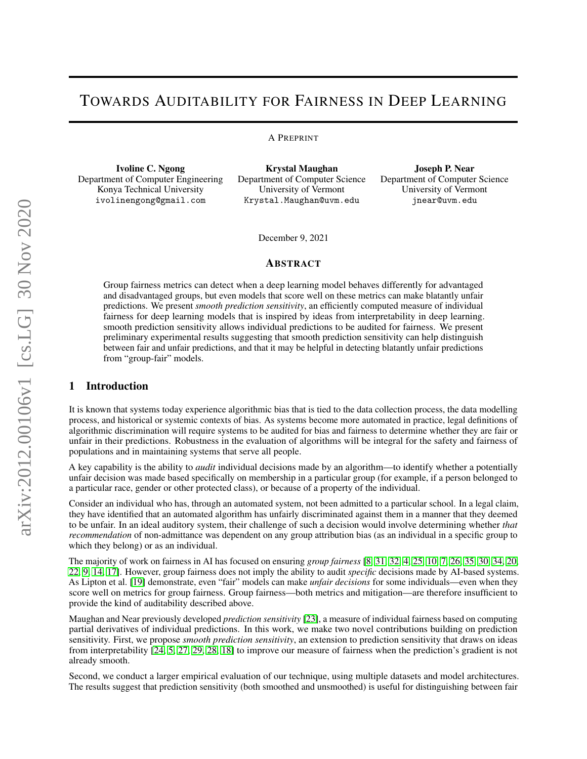# TOWARDS AUDITABILITY FOR FAIRNESS IN DEEP LEARNING

#### A PREPRINT

Ivoline C. Ngong Department of Computer Engineering Konya Technical University ivolinengong@gmail.com

Krystal Maughan Department of Computer Science University of Vermont Krystal.Maughan@uvm.edu

Joseph P. Near Department of Computer Science University of Vermont jnear@uvm.edu

December 9, 2021

# ABSTRACT

Group fairness metrics can detect when a deep learning model behaves differently for advantaged and disadvantaged groups, but even models that score well on these metrics can make blatantly unfair predictions. We present *smooth prediction sensitivity*, an efficiently computed measure of individual fairness for deep learning models that is inspired by ideas from interpretability in deep learning. smooth prediction sensitivity allows individual predictions to be audited for fairness. We present preliminary experimental results suggesting that smooth prediction sensitivity can help distinguish between fair and unfair predictions, and that it may be helpful in detecting blatantly unfair predictions from "group-fair" models.

# 1 Introduction

It is known that systems today experience algorithmic bias that is tied to the data collection process, the data modelling process, and historical or systemic contexts of bias. As systems become more automated in practice, legal definitions of algorithmic discrimination will require systems to be audited for bias and fairness to determine whether they are fair or unfair in their predictions. Robustness in the evaluation of algorithms will be integral for the safety and fairness of populations and in maintaining systems that serve all people.

A key capability is the ability to *audit* individual decisions made by an algorithm—to identify whether a potentially unfair decision was made based specifically on membership in a particular group (for example, if a person belonged to a particular race, gender or other protected class), or because of a property of the individual.

Consider an individual who has, through an automated system, not been admitted to a particular school. In a legal claim, they have identified that an automated algorithm has unfairly discriminated against them in a manner that they deemed to be unfair. In an ideal auditory system, their challenge of such a decision would involve determining whether *that recommendation* of non-admittance was dependent on any group attribution bias (as an individual in a specific group to which they belong) or as an individual.

The majority of work on fairness in AI has focused on ensuring *group fairness* [\[8,](#page-7-0) [31,](#page-9-0) [32,](#page-9-1) [4,](#page-7-1) [25,](#page-8-0) [10,](#page-8-1) [7,](#page-7-2) [26,](#page-8-2) [35,](#page-9-2) [30,](#page-8-3) [34,](#page-9-3) [20,](#page-8-4) [22,](#page-8-5) [9,](#page-8-6) [14,](#page-8-7) [17\]](#page-8-8). However, group fairness does not imply the ability to audit *specific* decisions made by AI-based systems. As Lipton et al. [\[19\]](#page-8-9) demonstrate, even "fair" models can make *unfair decisions* for some individuals—even when they score well on metrics for group fairness. Group fairness—both metrics and mitigation—are therefore insufficient to provide the kind of auditability described above.

Maughan and Near previously developed *prediction sensitivity* [\[23\]](#page-8-10), a measure of individual fairness based on computing partial derivatives of individual predictions. In this work, we make two novel contributions building on prediction sensitivity. First, we propose *smooth prediction sensitivity*, an extension to prediction sensitivity that draws on ideas from interpretability [\[24,](#page-8-11) [5,](#page-7-3) [27,](#page-8-12) [29,](#page-8-13) [28,](#page-8-14) [18\]](#page-8-15) to improve our measure of fairness when the prediction's gradient is not already smooth.

Second, we conduct a larger empirical evaluation of our technique, using multiple datasets and model architectures. The results suggest that prediction sensitivity (both smoothed and unsmoothed) is useful for distinguishing between fair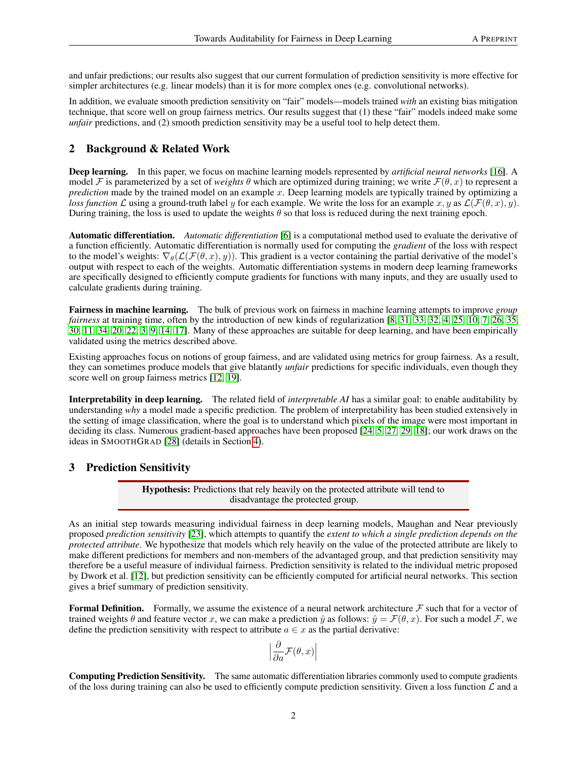and unfair predictions; our results also suggest that our current formulation of prediction sensitivity is more effective for simpler architectures (e.g. linear models) than it is for more complex ones (e.g. convolutional networks).

In addition, we evaluate smooth prediction sensitivity on "fair" models—models trained *with* an existing bias mitigation technique, that score well on group fairness metrics. Our results suggest that (1) these "fair" models indeed make some *unfair* predictions, and (2) smooth prediction sensitivity may be a useful tool to help detect them.

# 2 Background & Related Work

Deep learning. In this paper, we focus on machine learning models represented by *artificial neural networks* [\[16\]](#page-8-16). A model F is parameterized by a set of *weights*  $\theta$  which are optimized during training; we write  $\mathcal{F}(\theta, x)$  to represent a *prediction* made by the trained model on an example x. Deep learning models are typically trained by optimizing a *loss function* L using a ground-truth label y for each example. We write the loss for an example  $x, y$  as  $\mathcal{L}(\mathcal{F}(\theta, x), y)$ . During training, the loss is used to update the weights  $\theta$  so that loss is reduced during the next training epoch.

Automatic differentiation. *Automatic differentiation* [\[6\]](#page-7-4) is a computational method used to evaluate the derivative of a function efficiently. Automatic differentiation is normally used for computing the *gradient* of the loss with respect to the model's weights:  $\nabla_{\theta}(\mathcal{L}(\mathcal{F}(\theta, x), y))$ . This gradient is a vector containing the partial derivative of the model's output with respect to each of the weights. Automatic differentiation systems in modern deep learning frameworks are specifically designed to efficiently compute gradients for functions with many inputs, and they are usually used to calculate gradients during training.

Fairness in machine learning. The bulk of previous work on fairness in machine learning attempts to improve *group fairness* at training time, often by the introduction of new kinds of regularization [\[8,](#page-7-0) [31,](#page-9-0) [33,](#page-9-4) [32,](#page-9-1) [4,](#page-7-1) [25,](#page-8-0) [10,](#page-8-1) [7,](#page-7-2) [26,](#page-8-2) [35,](#page-9-2) [30,](#page-8-3) [11,](#page-8-17) [34,](#page-9-3) [20,](#page-8-4) [22,](#page-8-5) [3,](#page-7-5) [9,](#page-8-6) [14,](#page-8-7) [17\]](#page-8-8). Many of these approaches are suitable for deep learning, and have been empirically validated using the metrics described above.

Existing approaches focus on notions of group fairness, and are validated using metrics for group fairness. As a result, they can sometimes produce models that give blatantly *unfair* predictions for specific individuals, even though they score well on group fairness metrics [\[12,](#page-8-18) [19\]](#page-8-9).

Interpretability in deep learning. The related field of *interpretable AI* has a similar goal: to enable auditability by understanding *why* a model made a specific prediction. The problem of interpretability has been studied extensively in the setting of image classification, where the goal is to understand which pixels of the image were most important in deciding its class. Numerous gradient-based approaches have been proposed [\[24,](#page-8-11) [5,](#page-7-3) [27,](#page-8-12) [29,](#page-8-13) [18\]](#page-8-15); our work draws on the ideas in SMOOTHGRAD [\[28\]](#page-8-14) (details in Section [4\)](#page-2-0).

## 3 Prediction Sensitivity

Hypothesis: Predictions that rely heavily on the protected attribute will tend to disadvantage the protected group.

As an initial step towards measuring individual fairness in deep learning models, Maughan and Near previously proposed *prediction sensitivity* [\[23\]](#page-8-10), which attempts to quantify the *extent to which a single prediction depends on the protected attribute*. We hypothesize that models which rely heavily on the value of the protected attribute are likely to make different predictions for members and non-members of the advantaged group, and that prediction sensitivity may therefore be a useful measure of individual fairness. Prediction sensitivity is related to the individual metric proposed by Dwork et al. [\[12\]](#page-8-18), but prediction sensitivity can be efficiently computed for artificial neural networks. This section gives a brief summary of prediction sensitivity.

**Formal Definition.** Formally, we assume the existence of a neural network architecture  $\mathcal F$  such that for a vector of trained weights  $\theta$  and feature vector x, we can make a prediction  $\hat{y}$  as follows:  $\hat{y} = \mathcal{F}(\theta, x)$ . For such a model  $\mathcal{F}$ , we define the prediction sensitivity with respect to attribute  $a \in \mathcal{x}$  as the partial derivative:

$$
\left|\frac{\partial}{\partial a}\mathcal{F}(\theta,x)\right|
$$

Computing Prediction Sensitivity. The same automatic differentiation libraries commonly used to compute gradients of the loss during training can also be used to efficiently compute prediction sensitivity. Given a loss function  $\mathcal L$  and a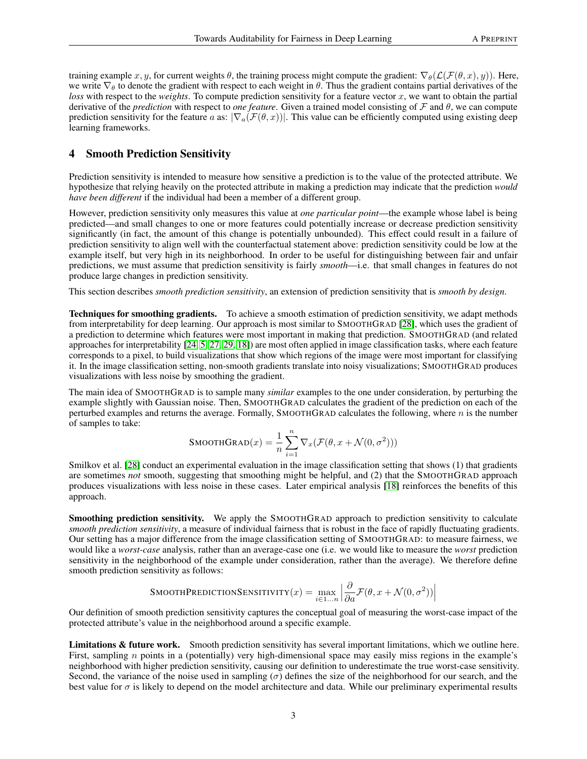training example x, y, for current weights  $\theta$ , the training process might compute the gradient:  $\nabla_{\theta}(\mathcal{L}(\mathcal{F}(\theta, x), y))$ . Here, we write  $\nabla_{\theta}$  to denote the gradient with respect to each weight in  $\theta$ . Thus the gradient contains partial derivatives of the *loss* with respect to the *weights*. To compute prediction sensitivity for a feature vector x, we want to obtain the partial derivative of the *prediction* with respect to *one feature*. Given a trained model consisting of F and θ, we can compute prediction sensitivity for the feature a as:  $|\nabla_a(\mathcal{F}(\theta, x))|$ . This value can be efficiently computed using existing deep learning frameworks.

### <span id="page-2-0"></span>4 Smooth Prediction Sensitivity

Prediction sensitivity is intended to measure how sensitive a prediction is to the value of the protected attribute. We hypothesize that relying heavily on the protected attribute in making a prediction may indicate that the prediction *would have been different* if the individual had been a member of a different group.

However, prediction sensitivity only measures this value at *one particular point*—the example whose label is being predicted—and small changes to one or more features could potentially increase or decrease prediction sensitivity significantly (in fact, the amount of this change is potentially unbounded). This effect could result in a failure of prediction sensitivity to align well with the counterfactual statement above: prediction sensitivity could be low at the example itself, but very high in its neighborhood. In order to be useful for distinguishing between fair and unfair predictions, we must assume that prediction sensitivity is fairly *smooth*—i.e. that small changes in features do not produce large changes in prediction sensitivity.

This section describes *smooth prediction sensitivity*, an extension of prediction sensitivity that is *smooth by design*.

Techniques for smoothing gradients. To achieve a smooth estimation of prediction sensitivity, we adapt methods from interpretability for deep learning. Our approach is most similar to SMOOTHGRAD [\[28\]](#page-8-14), which uses the gradient of a prediction to determine which features were most important in making that prediction. SMOOTHGRAD (and related approaches for interpretability [\[24,](#page-8-11) [5,](#page-7-3) [27,](#page-8-12) [29,](#page-8-13) [18\]](#page-8-15)) are most often applied in image classification tasks, where each feature corresponds to a pixel, to build visualizations that show which regions of the image were most important for classifying it. In the image classification setting, non-smooth gradients translate into noisy visualizations; SMOOTHGRAD produces visualizations with less noise by smoothing the gradient.

The main idea of SMOOTHGRAD is to sample many *similar* examples to the one under consideration, by perturbing the example slightly with Gaussian noise. Then, SMOOTHGRAD calculates the gradient of the prediction on each of the perturbed examples and returns the average. Formally, SMOOTHGRAD calculates the following, where  $n$  is the number of samples to take:

$$
\text{SMOOTHGRAD}(x) = \frac{1}{n} \sum_{i=1}^{n} \nabla_x (\mathcal{F}(\theta, x + \mathcal{N}(0, \sigma^2)))
$$

Smilkov et al. [\[28\]](#page-8-14) conduct an experimental evaluation in the image classification setting that shows (1) that gradients are sometimes *not* smooth, suggesting that smoothing might be helpful, and (2) that the SMOOTHGRAD approach produces visualizations with less noise in these cases. Later empirical analysis [\[18\]](#page-8-15) reinforces the benefits of this approach.

Smoothing prediction sensitivity. We apply the SMOOTHGRAD approach to prediction sensitivity to calculate *smooth prediction sensitivity*, a measure of individual fairness that is robust in the face of rapidly fluctuating gradients. Our setting has a major difference from the image classification setting of SMOOTHGRAD: to measure fairness, we would like a *worst-case* analysis, rather than an average-case one (i.e. we would like to measure the *worst* prediction sensitivity in the neighborhood of the example under consideration, rather than the average). We therefore define smooth prediction sensitivity as follows:

$$
\text{SMOOTHPREDICTIONSENSTITIVITY}(x) = \max_{i \in 1...n} \left| \frac{\partial}{\partial a} \mathcal{F}(\theta, x + \mathcal{N}(0, \sigma^2)) \right|
$$

Our definition of smooth prediction sensitivity captures the conceptual goal of measuring the worst-case impact of the protected attribute's value in the neighborhood around a specific example.

Limitations & future work. Smooth prediction sensitivity has several important limitations, which we outline here. First, sampling n points in a (potentially) very high-dimensional space may easily miss regions in the example's neighborhood with higher prediction sensitivity, causing our definition to underestimate the true worst-case sensitivity. Second, the variance of the noise used in sampling ( $\sigma$ ) defines the size of the neighborhood for our search, and the best value for  $\sigma$  is likely to depend on the model architecture and data. While our preliminary experimental results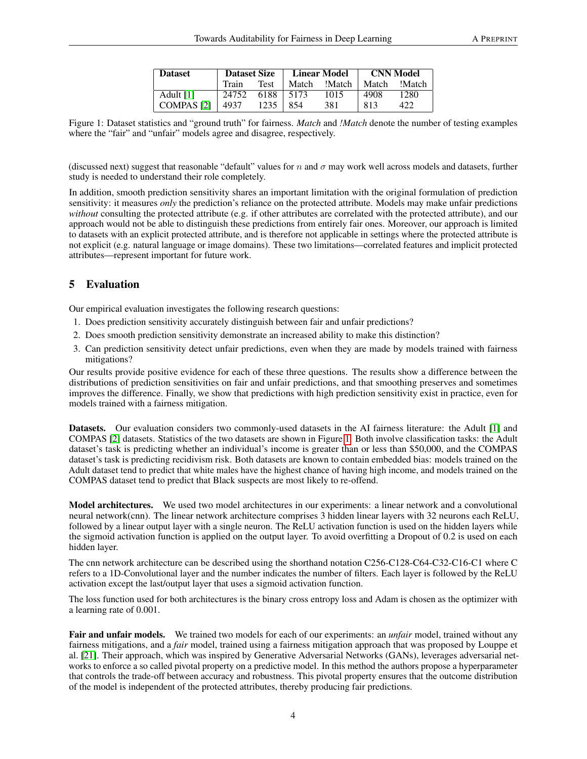| <b>Dataset</b>    | <b>Dataset Size</b> |      | <b>Linear Model</b> |        | <b>CNN Model</b> |        |
|-------------------|---------------------|------|---------------------|--------|------------------|--------|
|                   | Train               | Test | Match               | !Match | Match            | !Match |
| Adult [1]         | 24752               | 6188 | 5173                | 1015   | 4908             | 1280   |
| <b>COMPAS</b> [2] | 4937                | 1235 | 854                 | 381    | 813              |        |

<span id="page-3-0"></span>Figure 1: Dataset statistics and "ground truth" for fairness. *Match* and *!Match* denote the number of testing examples where the "fair" and "unfair" models agree and disagree, respectively.

(discussed next) suggest that reasonable "default" values for n and  $\sigma$  may work well across models and datasets, further study is needed to understand their role completely.

In addition, smooth prediction sensitivity shares an important limitation with the original formulation of prediction sensitivity: it measures *only* the prediction's reliance on the protected attribute. Models may make unfair predictions *without* consulting the protected attribute (e.g. if other attributes are correlated with the protected attribute), and our approach would not be able to distinguish these predictions from entirely fair ones. Moreover, our approach is limited to datasets with an explicit protected attribute, and is therefore not applicable in settings where the protected attribute is not explicit (e.g. natural language or image domains). These two limitations—correlated features and implicit protected attributes—represent important for future work.

# 5 Evaluation

Our empirical evaluation investigates the following research questions:

- 1. Does prediction sensitivity accurately distinguish between fair and unfair predictions?
- 2. Does smooth prediction sensitivity demonstrate an increased ability to make this distinction?
- 3. Can prediction sensitivity detect unfair predictions, even when they are made by models trained with fairness mitigations?

Our results provide positive evidence for each of these three questions. The results show a difference between the distributions of prediction sensitivities on fair and unfair predictions, and that smoothing preserves and sometimes improves the difference. Finally, we show that predictions with high prediction sensitivity exist in practice, even for models trained with a fairness mitigation.

Datasets. Our evaluation considers two commonly-used datasets in the AI fairness literature: the Adult [\[1\]](#page-7-6) and COMPAS [\[2\]](#page-7-7) datasets. Statistics of the two datasets are shown in Figure [1.](#page-3-0) Both involve classification tasks: the Adult dataset's task is predicting whether an individual's income is greater than or less than \$50,000, and the COMPAS dataset's task is predicting recidivism risk. Both datasets are known to contain embedded bias: models trained on the Adult dataset tend to predict that white males have the highest chance of having high income, and models trained on the COMPAS dataset tend to predict that Black suspects are most likely to re-offend.

Model architectures. We used two model architectures in our experiments: a linear network and a convolutional neural network(cnn). The linear network architecture comprises 3 hidden linear layers with 32 neurons each ReLU, followed by a linear output layer with a single neuron. The ReLU activation function is used on the hidden layers while the sigmoid activation function is applied on the output layer. To avoid overfitting a Dropout of 0.2 is used on each hidden layer.

The cnn network architecture can be described using the shorthand notation C256-C128-C64-C32-C16-C1 where C refers to a 1D-Convolutional layer and the number indicates the number of filters. Each layer is followed by the ReLU activation except the last/output layer that uses a sigmoid activation function.

The loss function used for both architectures is the binary cross entropy loss and Adam is chosen as the optimizer with a learning rate of 0.001.

Fair and unfair models. We trained two models for each of our experiments: an *unfair* model, trained without any fairness mitigations, and a *fair* model, trained using a fairness mitigation approach that was proposed by Louppe et al. [\[21\]](#page-8-19). Their approach, which was inspired by Generative Adversarial Networks (GANs), leverages adversarial networks to enforce a so called pivotal property on a predictive model. In this method the authors propose a hyperparameter that controls the trade-off between accuracy and robustness. This pivotal property ensures that the outcome distribution of the model is independent of the protected attributes, thereby producing fair predictions.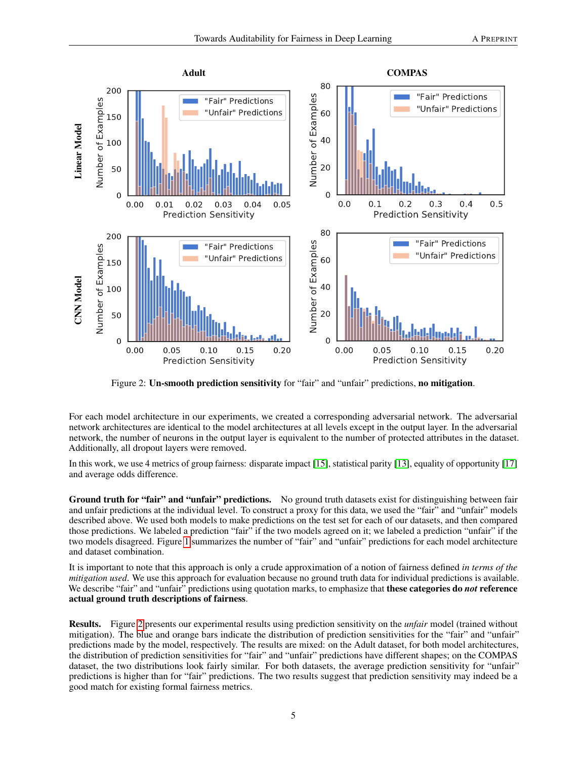

<span id="page-4-0"></span>Figure 2: Un-smooth prediction sensitivity for "fair" and "unfair" predictions, no mitigation.

For each model architecture in our experiments, we created a corresponding adversarial network. The adversarial network architectures are identical to the model architectures at all levels except in the output layer. In the adversarial network, the number of neurons in the output layer is equivalent to the number of protected attributes in the dataset. Additionally, all dropout layers were removed.

In this work, we use 4 metrics of group fairness: disparate impact [\[15\]](#page-8-20), statistical parity [\[13\]](#page-8-21), equality of opportunity [\[17\]](#page-8-8) and average odds difference.

Ground truth for "fair" and "unfair" predictions. No ground truth datasets exist for distinguishing between fair and unfair predictions at the individual level. To construct a proxy for this data, we used the "fair" and "unfair" models described above. We used both models to make predictions on the test set for each of our datasets, and then compared those predictions. We labeled a prediction "fair" if the two models agreed on it; we labeled a prediction "unfair" if the two models disagreed. Figure [1](#page-3-0) summarizes the number of "fair" and "unfair" predictions for each model architecture and dataset combination.

It is important to note that this approach is only a crude approximation of a notion of fairness defined *in terms of the mitigation used*. We use this approach for evaluation because no ground truth data for individual predictions is available. We describe "fair" and "unfair" predictions using quotation marks, to emphasize that **these categories do** *not* **reference** actual ground truth descriptions of fairness.

Results. Figure [2](#page-4-0) presents our experimental results using prediction sensitivity on the *unfair* model (trained without mitigation). The blue and orange bars indicate the distribution of prediction sensitivities for the "fair" and "unfair" predictions made by the model, respectively. The results are mixed: on the Adult dataset, for both model architectures, the distribution of prediction sensitivities for "fair" and "unfair" predictions have different shapes; on the COMPAS dataset, the two distributions look fairly similar. For both datasets, the average prediction sensitivity for "unfair" predictions is higher than for "fair" predictions. The two results suggest that prediction sensitivity may indeed be a good match for existing formal fairness metrics.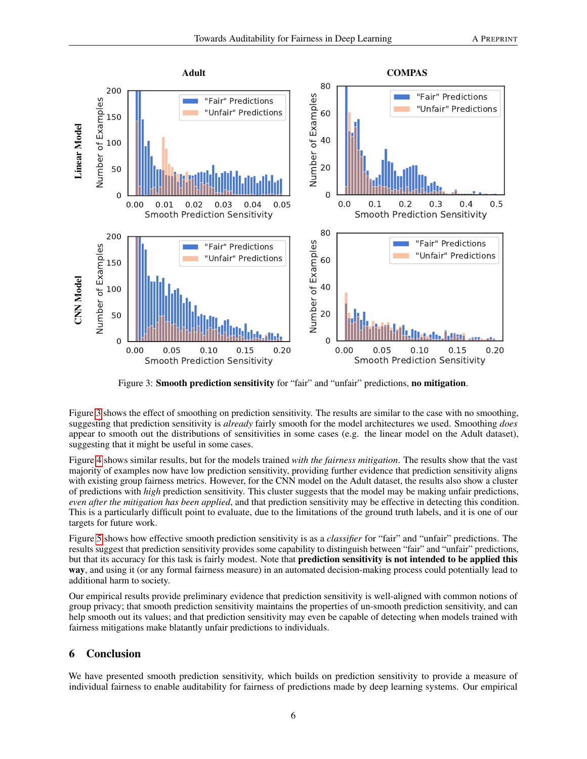

<span id="page-5-0"></span>Figure 3: **Smooth prediction sensitivity** for "fair" and "unfair" predictions, **no mitigation**.

Figure [3](#page-5-0) shows the effect of smoothing on prediction sensitivity. The results are similar to the case with no smoothing, suggesting that prediction sensitivity is *already* fairly smooth for the model architectures we used. Smoothing *does* appear to smooth out the distributions of sensitivities in some cases (e.g. the linear model on the Adult dataset), suggesting that it might be useful in some cases.

Figure [4](#page-6-0) shows similar results, but for the models trained *with the fairness mitigation*. The results show that the vast majority of examples now have low prediction sensitivity, providing further evidence that prediction sensitivity aligns with existing group fairness metrics. However, for the CNN model on the Adult dataset, the results also show a cluster of predictions with *high* prediction sensitivity. This cluster suggests that the model may be making unfair predictions, *even after the mitigation has been applied*, and that prediction sensitivity may be effective in detecting this condition. This is a particularly difficult point to evaluate, due to the limitations of the ground truth labels, and it is one of our targets for future work.

Figure [5](#page-6-1) shows how effective smooth prediction sensitivity is as a *classifier* for "fair" and "unfair" predictions. The results suggest that prediction sensitivity provides some capability to distinguish between "fair" and "unfair" predictions, but that its accuracy for this task is fairly modest. Note that prediction sensitivity is not intended to be applied this way, and using it (or any formal fairness measure) in an automated decision-making process could potentially lead to additional harm to society.

Our empirical results provide preliminary evidence that prediction sensitivity is well-aligned with common notions of group privacy; that smooth prediction sensitivity maintains the properties of un-smooth prediction sensitivity, and can help smooth out its values; and that prediction sensitivity may even be capable of detecting when models trained with fairness mitigations make blatantly unfair predictions to individuals.

# 6 Conclusion

We have presented smooth prediction sensitivity, which builds on prediction sensitivity to provide a measure of individual fairness to enable auditability for fairness of predictions made by deep learning systems. Our empirical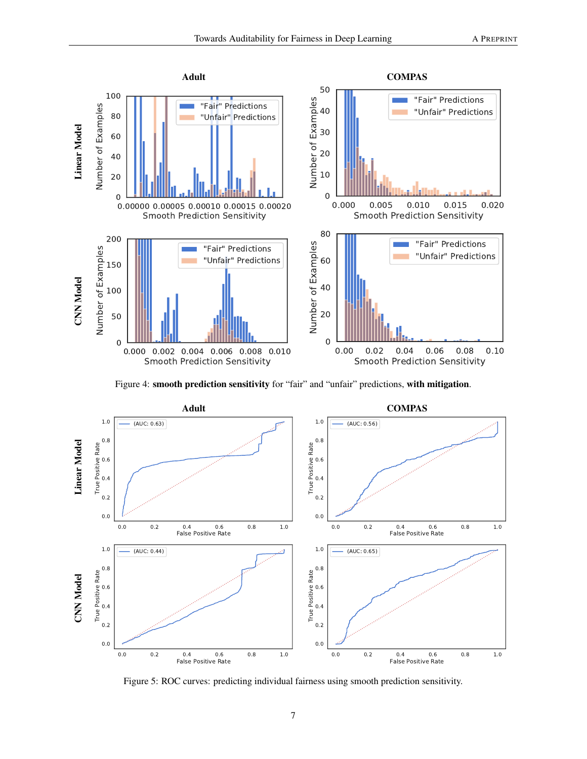

<span id="page-6-0"></span>Figure 4: smooth prediction sensitivity for "fair" and "unfair" predictions, with mitigation.



<span id="page-6-1"></span>Figure 5: ROC curves: predicting individual fairness using smooth prediction sensitivity.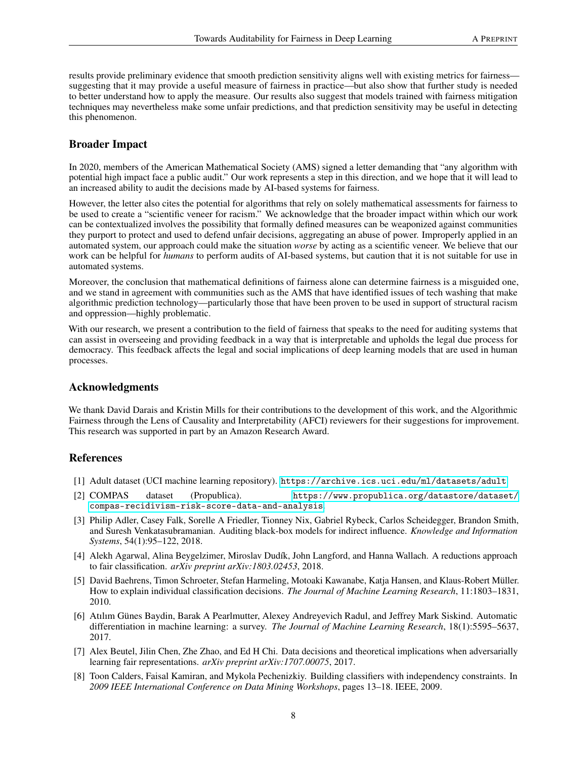results provide preliminary evidence that smooth prediction sensitivity aligns well with existing metrics for fairness suggesting that it may provide a useful measure of fairness in practice—but also show that further study is needed to better understand how to apply the measure. Our results also suggest that models trained with fairness mitigation techniques may nevertheless make some unfair predictions, and that prediction sensitivity may be useful in detecting this phenomenon.

# Broader Impact

In 2020, members of the American Mathematical Society (AMS) signed a letter demanding that "any algorithm with potential high impact face a public audit." Our work represents a step in this direction, and we hope that it will lead to an increased ability to audit the decisions made by AI-based systems for fairness.

However, the letter also cites the potential for algorithms that rely on solely mathematical assessments for fairness to be used to create a "scientific veneer for racism." We acknowledge that the broader impact within which our work can be contextualized involves the possibility that formally defined measures can be weaponized against communities they purport to protect and used to defend unfair decisions, aggregating an abuse of power. Improperly applied in an automated system, our approach could make the situation *worse* by acting as a scientific veneer. We believe that our work can be helpful for *humans* to perform audits of AI-based systems, but caution that it is not suitable for use in automated systems.

Moreover, the conclusion that mathematical definitions of fairness alone can determine fairness is a misguided one, and we stand in agreement with communities such as the AMS that have identified issues of tech washing that make algorithmic prediction technology—particularly those that have been proven to be used in support of structural racism and oppression—highly problematic.

With our research, we present a contribution to the field of fairness that speaks to the need for auditing systems that can assist in overseeing and providing feedback in a way that is interpretable and upholds the legal due process for democracy. This feedback affects the legal and social implications of deep learning models that are used in human processes.

## Acknowledgments

We thank David Darais and Kristin Mills for their contributions to the development of this work, and the Algorithmic Fairness through the Lens of Causality and Interpretability (AFCI) reviewers for their suggestions for improvement. This research was supported in part by an Amazon Research Award.

# **References**

- <span id="page-7-6"></span>[1] Adult dataset (UCI machine learning repository). <https://archive.ics.uci.edu/ml/datasets/adult>.
- <span id="page-7-7"></span>[2] COMPAS dataset (Propublica). [https://www.propublica.org/datastore/dataset/](https://www.propublica.org/datastore/dataset/compas-recidivism-risk-score-data-and-analysis) [compas-recidivism-risk-score-data-and-analysis](https://www.propublica.org/datastore/dataset/compas-recidivism-risk-score-data-and-analysis).
- <span id="page-7-5"></span>[3] Philip Adler, Casey Falk, Sorelle A Friedler, Tionney Nix, Gabriel Rybeck, Carlos Scheidegger, Brandon Smith, and Suresh Venkatasubramanian. Auditing black-box models for indirect influence. *Knowledge and Information Systems*, 54(1):95–122, 2018.
- <span id="page-7-1"></span>[4] Alekh Agarwal, Alina Beygelzimer, Miroslav Dudík, John Langford, and Hanna Wallach. A reductions approach to fair classification. *arXiv preprint arXiv:1803.02453*, 2018.
- <span id="page-7-3"></span>[5] David Baehrens, Timon Schroeter, Stefan Harmeling, Motoaki Kawanabe, Katja Hansen, and Klaus-Robert Müller. How to explain individual classification decisions. *The Journal of Machine Learning Research*, 11:1803–1831, 2010.
- <span id="page-7-4"></span>[6] Atılım Günes Baydin, Barak A Pearlmutter, Alexey Andreyevich Radul, and Jeffrey Mark Siskind. Automatic differentiation in machine learning: a survey. *The Journal of Machine Learning Research*, 18(1):5595–5637, 2017.
- <span id="page-7-2"></span>[7] Alex Beutel, Jilin Chen, Zhe Zhao, and Ed H Chi. Data decisions and theoretical implications when adversarially learning fair representations. *arXiv preprint arXiv:1707.00075*, 2017.
- <span id="page-7-0"></span>[8] Toon Calders, Faisal Kamiran, and Mykola Pechenizkiy. Building classifiers with independency constraints. In *2009 IEEE International Conference on Data Mining Workshops*, pages 13–18. IEEE, 2009.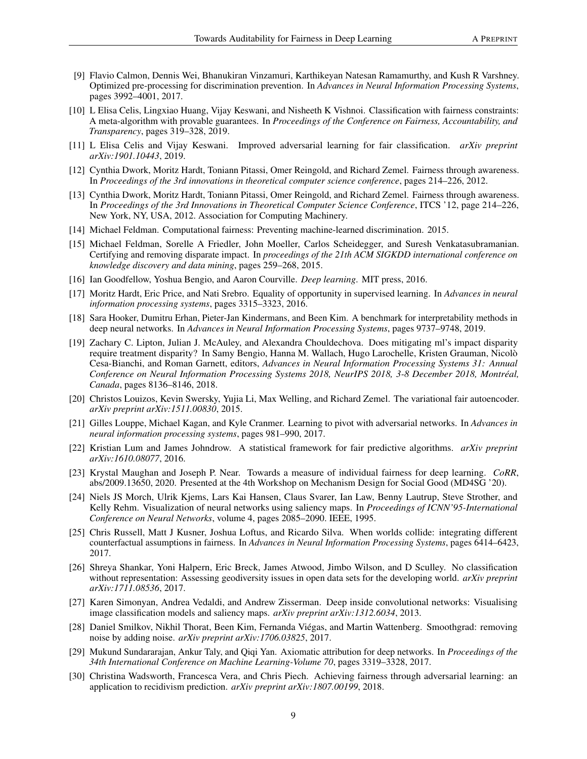- <span id="page-8-6"></span>[9] Flavio Calmon, Dennis Wei, Bhanukiran Vinzamuri, Karthikeyan Natesan Ramamurthy, and Kush R Varshney. Optimized pre-processing for discrimination prevention. In *Advances in Neural Information Processing Systems*, pages 3992–4001, 2017.
- <span id="page-8-1"></span>[10] L Elisa Celis, Lingxiao Huang, Vijay Keswani, and Nisheeth K Vishnoi. Classification with fairness constraints: A meta-algorithm with provable guarantees. In *Proceedings of the Conference on Fairness, Accountability, and Transparency*, pages 319–328, 2019.
- <span id="page-8-17"></span>[11] L Elisa Celis and Vijay Keswani. Improved adversarial learning for fair classification. *arXiv preprint arXiv:1901.10443*, 2019.
- <span id="page-8-18"></span>[12] Cynthia Dwork, Moritz Hardt, Toniann Pitassi, Omer Reingold, and Richard Zemel. Fairness through awareness. In *Proceedings of the 3rd innovations in theoretical computer science conference*, pages 214–226, 2012.
- <span id="page-8-21"></span>[13] Cynthia Dwork, Moritz Hardt, Toniann Pitassi, Omer Reingold, and Richard Zemel. Fairness through awareness. In *Proceedings of the 3rd Innovations in Theoretical Computer Science Conference*, ITCS '12, page 214–226, New York, NY, USA, 2012. Association for Computing Machinery.
- <span id="page-8-7"></span>[14] Michael Feldman. Computational fairness: Preventing machine-learned discrimination. 2015.
- <span id="page-8-20"></span>[15] Michael Feldman, Sorelle A Friedler, John Moeller, Carlos Scheidegger, and Suresh Venkatasubramanian. Certifying and removing disparate impact. In *proceedings of the 21th ACM SIGKDD international conference on knowledge discovery and data mining*, pages 259–268, 2015.
- <span id="page-8-16"></span>[16] Ian Goodfellow, Yoshua Bengio, and Aaron Courville. *Deep learning*. MIT press, 2016.
- <span id="page-8-8"></span>[17] Moritz Hardt, Eric Price, and Nati Srebro. Equality of opportunity in supervised learning. In *Advances in neural information processing systems*, pages 3315–3323, 2016.
- <span id="page-8-15"></span>[18] Sara Hooker, Dumitru Erhan, Pieter-Jan Kindermans, and Been Kim. A benchmark for interpretability methods in deep neural networks. In *Advances in Neural Information Processing Systems*, pages 9737–9748, 2019.
- <span id="page-8-9"></span>[19] Zachary C. Lipton, Julian J. McAuley, and Alexandra Chouldechova. Does mitigating ml's impact disparity require treatment disparity? In Samy Bengio, Hanna M. Wallach, Hugo Larochelle, Kristen Grauman, Nicolò Cesa-Bianchi, and Roman Garnett, editors, *Advances in Neural Information Processing Systems 31: Annual Conference on Neural Information Processing Systems 2018, NeurIPS 2018, 3-8 December 2018, Montréal, Canada*, pages 8136–8146, 2018.
- <span id="page-8-4"></span>[20] Christos Louizos, Kevin Swersky, Yujia Li, Max Welling, and Richard Zemel. The variational fair autoencoder. *arXiv preprint arXiv:1511.00830*, 2015.
- <span id="page-8-19"></span>[21] Gilles Louppe, Michael Kagan, and Kyle Cranmer. Learning to pivot with adversarial networks. In *Advances in neural information processing systems*, pages 981–990, 2017.
- <span id="page-8-5"></span>[22] Kristian Lum and James Johndrow. A statistical framework for fair predictive algorithms. *arXiv preprint arXiv:1610.08077*, 2016.
- <span id="page-8-10"></span>[23] Krystal Maughan and Joseph P. Near. Towards a measure of individual fairness for deep learning. *CoRR*, abs/2009.13650, 2020. Presented at the 4th Workshop on Mechanism Design for Social Good (MD4SG '20).
- <span id="page-8-11"></span>[24] Niels JS Morch, Ulrik Kjems, Lars Kai Hansen, Claus Svarer, Ian Law, Benny Lautrup, Steve Strother, and Kelly Rehm. Visualization of neural networks using saliency maps. In *Proceedings of ICNN'95-International Conference on Neural Networks*, volume 4, pages 2085–2090. IEEE, 1995.
- <span id="page-8-0"></span>[25] Chris Russell, Matt J Kusner, Joshua Loftus, and Ricardo Silva. When worlds collide: integrating different counterfactual assumptions in fairness. In *Advances in Neural Information Processing Systems*, pages 6414–6423, 2017.
- <span id="page-8-2"></span>[26] Shreya Shankar, Yoni Halpern, Eric Breck, James Atwood, Jimbo Wilson, and D Sculley. No classification without representation: Assessing geodiversity issues in open data sets for the developing world. *arXiv preprint arXiv:1711.08536*, 2017.
- <span id="page-8-12"></span>[27] Karen Simonyan, Andrea Vedaldi, and Andrew Zisserman. Deep inside convolutional networks: Visualising image classification models and saliency maps. *arXiv preprint arXiv:1312.6034*, 2013.
- <span id="page-8-14"></span>[28] Daniel Smilkov, Nikhil Thorat, Been Kim, Fernanda Viégas, and Martin Wattenberg. Smoothgrad: removing noise by adding noise. *arXiv preprint arXiv:1706.03825*, 2017.
- <span id="page-8-13"></span>[29] Mukund Sundararajan, Ankur Taly, and Qiqi Yan. Axiomatic attribution for deep networks. In *Proceedings of the 34th International Conference on Machine Learning-Volume 70*, pages 3319–3328, 2017.
- <span id="page-8-3"></span>[30] Christina Wadsworth, Francesca Vera, and Chris Piech. Achieving fairness through adversarial learning: an application to recidivism prediction. *arXiv preprint arXiv:1807.00199*, 2018.